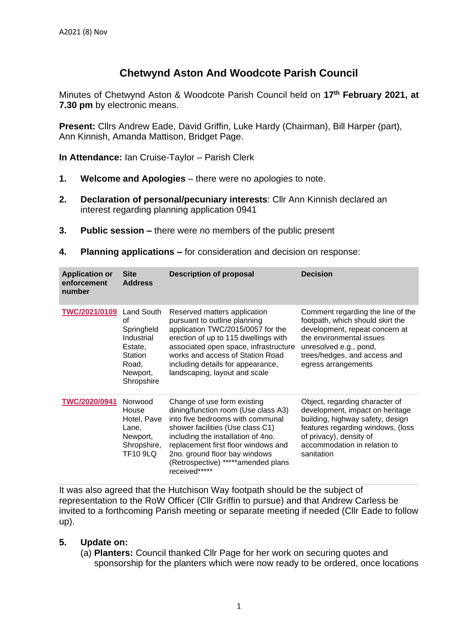## **Chetwynd Aston And Woodcote Parish Council**

Minutes of Chetwynd Aston & Woodcote Parish Council held on **17th February 2021, at 7.30 pm** by electronic means.

**Present:** Cllrs Andrew Eade, David Griffin, Luke Hardy (Chairman), Bill Harper (part), Ann Kinnish, Amanda Mattison, Bridget Page.

**In Attendance:** Ian Cruise-Taylor – Parish Clerk

- **1. Welcome and Apologies** there were no apologies to note.
- **2. Declaration of personal/pecuniary interests**: Cllr Ann Kinnish declared an interest regarding planning application 0941
- **3. Public session –** there were no members of the public present
- **4. Planning applications –** for consideration and decision on response:

| <b>Application or</b><br>enforcement<br>number | <b>Site</b><br><b>Address</b>                                                                          | <b>Description of proposal</b>                                                                                                                                                                                                                                                                                  | <b>Decision</b>                                                                                                                                                                                                      |
|------------------------------------------------|--------------------------------------------------------------------------------------------------------|-----------------------------------------------------------------------------------------------------------------------------------------------------------------------------------------------------------------------------------------------------------------------------------------------------------------|----------------------------------------------------------------------------------------------------------------------------------------------------------------------------------------------------------------------|
| <b>TWC/2021/0109</b>                           | Land South<br>οf<br>Springfield<br>Industrial<br>Estate.<br>Station<br>Road,<br>Newport,<br>Shropshire | Reserved matters application<br>pursuant to outline planning<br>application TWC/2015/0057 for the<br>erection of up to 115 dwellings with<br>associated open space, infrastructure<br>works and access of Station Road<br>including details for appearance,<br>landscaping, layout and scale                    | Comment regarding the line of the<br>footpath, which should skirt the<br>development, repeat concern at<br>the environmental issues<br>unresolved e.g., pond,<br>trees/hedges, and access and<br>egress arrangements |
| TWC/2020/0941                                  | Norwood<br>House<br>Hotel, Pave<br>Lane,<br>Newport,<br>Shropshire,<br><b>TF10 9LQ</b>                 | Change of use form existing<br>dining/function room (Use class A3)<br>into five bedrooms with communal<br>shower facilities (Use class C1)<br>including the installation of 4no.<br>replacement first floor windows and<br>2no. ground floor bay windows<br>(Retrospective) *****amended plans<br>received***** | Object, regarding character of<br>development, impact on heritage<br>building, highway safety, design<br>features regarding windows, (loss<br>of privacy), density of<br>accommodation in relation to<br>sanitation  |

It was also agreed that the Hutchison Way footpath should be the subject of representation to the RoW Officer (Cllr Griffin to pursue) and that Andrew Carless be invited to a forthcoming Parish meeting or separate meeting if needed (Cllr Eade to follow up).

## **5. Update on:**

(a) **Planters:** Council thanked Cllr Page for her work on securing quotes and sponsorship for the planters which were now ready to be ordered, once locations